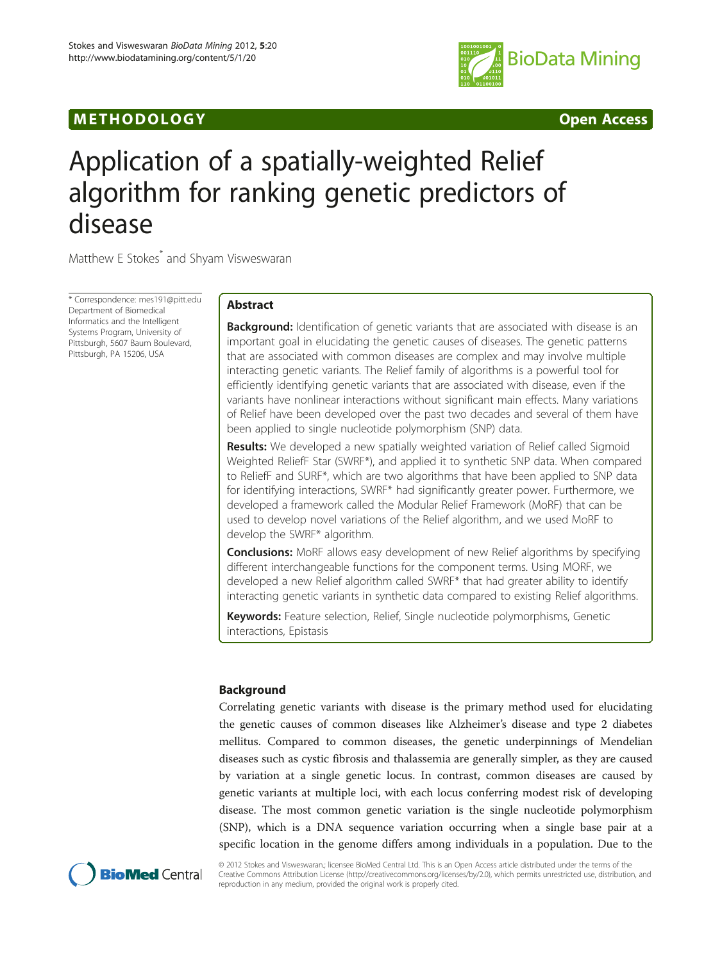## M E THODO L OGY Open Access



# Application of a spatially-weighted Relief algorithm for ranking genetic predictors of disease

Matthew E Stokes\* and Shyam Visweswaran

\* Correspondence: [mes191@pitt.edu](mailto:mes191@pitt.edu) Department of Biomedical Informatics and the Intelligent Systems Program, University of Pittsburgh, 5607 Baum Boulevard, Pittsburgh, PA 15206, USA

### Abstract

**Background:** Identification of genetic variants that are associated with disease is an important goal in elucidating the genetic causes of diseases. The genetic patterns that are associated with common diseases are complex and may involve multiple interacting genetic variants. The Relief family of algorithms is a powerful tool for efficiently identifying genetic variants that are associated with disease, even if the variants have nonlinear interactions without significant main effects. Many variations of Relief have been developed over the past two decades and several of them have been applied to single nucleotide polymorphism (SNP) data.

Results: We developed a new spatially weighted variation of Relief called Sigmoid Weighted ReliefF Star (SWRF\*), and applied it to synthetic SNP data. When compared to ReliefF and SURF\*, which are two algorithms that have been applied to SNP data for identifying interactions, SWRF\* had significantly greater power. Furthermore, we developed a framework called the Modular Relief Framework (MoRF) that can be used to develop novel variations of the Relief algorithm, and we used MoRF to develop the SWRF\* algorithm.

**Conclusions:** MoRF allows easy development of new Relief algorithms by specifying different interchangeable functions for the component terms. Using MORF, we developed a new Relief algorithm called SWRF\* that had greater ability to identify interacting genetic variants in synthetic data compared to existing Relief algorithms.

Keywords: Feature selection, Relief, Single nucleotide polymorphisms, Genetic interactions, Epistasis

### Background

Correlating genetic variants with disease is the primary method used for elucidating the genetic causes of common diseases like Alzheimer's disease and type 2 diabetes mellitus. Compared to common diseases, the genetic underpinnings of Mendelian diseases such as cystic fibrosis and thalassemia are generally simpler, as they are caused by variation at a single genetic locus. In contrast, common diseases are caused by genetic variants at multiple loci, with each locus conferring modest risk of developing disease. The most common genetic variation is the single nucleotide polymorphism (SNP), which is a DNA sequence variation occurring when a single base pair at a specific location in the genome differs among individuals in a population. Due to the



© 2012 Stokes and Visweswaran.; licensee BioMed Central Ltd. This is an Open Access article distributed under the terms of the Creative Commons Attribution License (<http://creativecommons.org/licenses/by/2.0>), which permits unrestricted use, distribution, and reproduction in any medium, provided the original work is properly cited.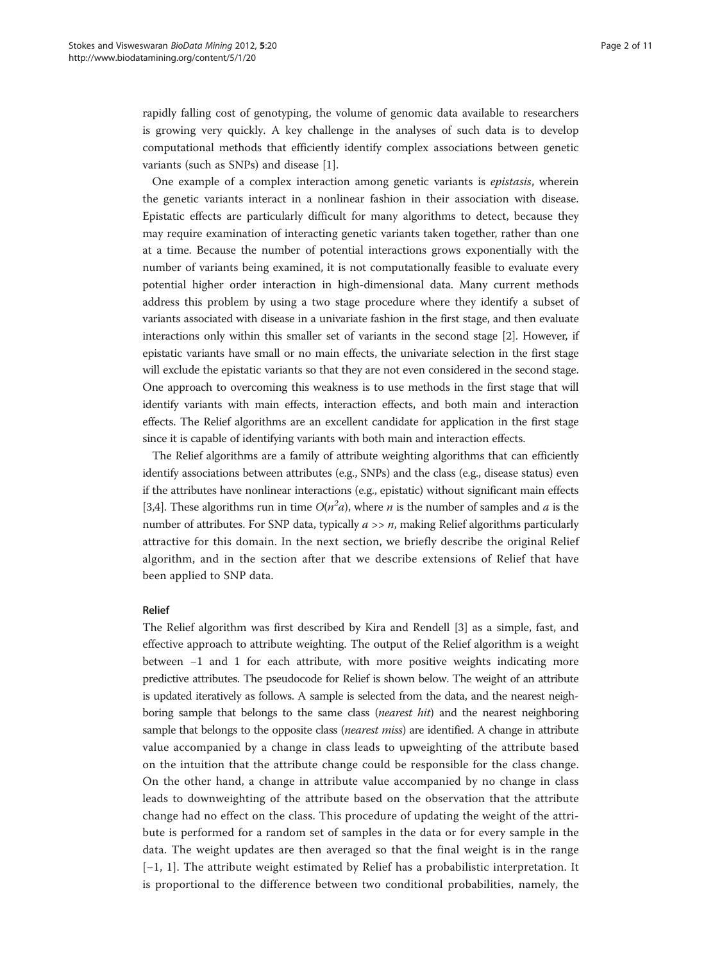rapidly falling cost of genotyping, the volume of genomic data available to researchers is growing very quickly. A key challenge in the analyses of such data is to develop computational methods that efficiently identify complex associations between genetic variants (such as SNPs) and disease [\[1](#page-9-0)].

One example of a complex interaction among genetic variants is epistasis, wherein the genetic variants interact in a nonlinear fashion in their association with disease. Epistatic effects are particularly difficult for many algorithms to detect, because they may require examination of interacting genetic variants taken together, rather than one at a time. Because the number of potential interactions grows exponentially with the number of variants being examined, it is not computationally feasible to evaluate every potential higher order interaction in high-dimensional data. Many current methods address this problem by using a two stage procedure where they identify a subset of variants associated with disease in a univariate fashion in the first stage, and then evaluate interactions only within this smaller set of variants in the second stage [\[2](#page-9-0)]. However, if epistatic variants have small or no main effects, the univariate selection in the first stage will exclude the epistatic variants so that they are not even considered in the second stage. One approach to overcoming this weakness is to use methods in the first stage that will identify variants with main effects, interaction effects, and both main and interaction effects. The Relief algorithms are an excellent candidate for application in the first stage since it is capable of identifying variants with both main and interaction effects.

The Relief algorithms are a family of attribute weighting algorithms that can efficiently identify associations between attributes (e.g., SNPs) and the class (e.g., disease status) even if the attributes have nonlinear interactions (e.g., epistatic) without significant main effects [[3,4](#page-9-0)]. These algorithms run in time  $O(n^2a)$ , where *n* is the number of samples and *a* is the number of attributes. For SNP data, typically  $a \gg n$ , making Relief algorithms particularly attractive for this domain. In the next section, we briefly describe the original Relief algorithm, and in the section after that we describe extensions of Relief that have been applied to SNP data.

#### Relief

The Relief algorithm was first described by Kira and Rendell [\[3\]](#page-9-0) as a simple, fast, and effective approach to attribute weighting. The output of the Relief algorithm is a weight between −1 and 1 for each attribute, with more positive weights indicating more predictive attributes. The pseudocode for Relief is shown below. The weight of an attribute is updated iteratively as follows. A sample is selected from the data, and the nearest neighboring sample that belongs to the same class *(nearest hit)* and the nearest neighboring sample that belongs to the opposite class (nearest miss) are identified. A change in attribute value accompanied by a change in class leads to upweighting of the attribute based on the intuition that the attribute change could be responsible for the class change. On the other hand, a change in attribute value accompanied by no change in class leads to downweighting of the attribute based on the observation that the attribute change had no effect on the class. This procedure of updating the weight of the attribute is performed for a random set of samples in the data or for every sample in the data. The weight updates are then averaged so that the final weight is in the range [−1, 1]. The attribute weight estimated by Relief has a probabilistic interpretation. It is proportional to the difference between two conditional probabilities, namely, the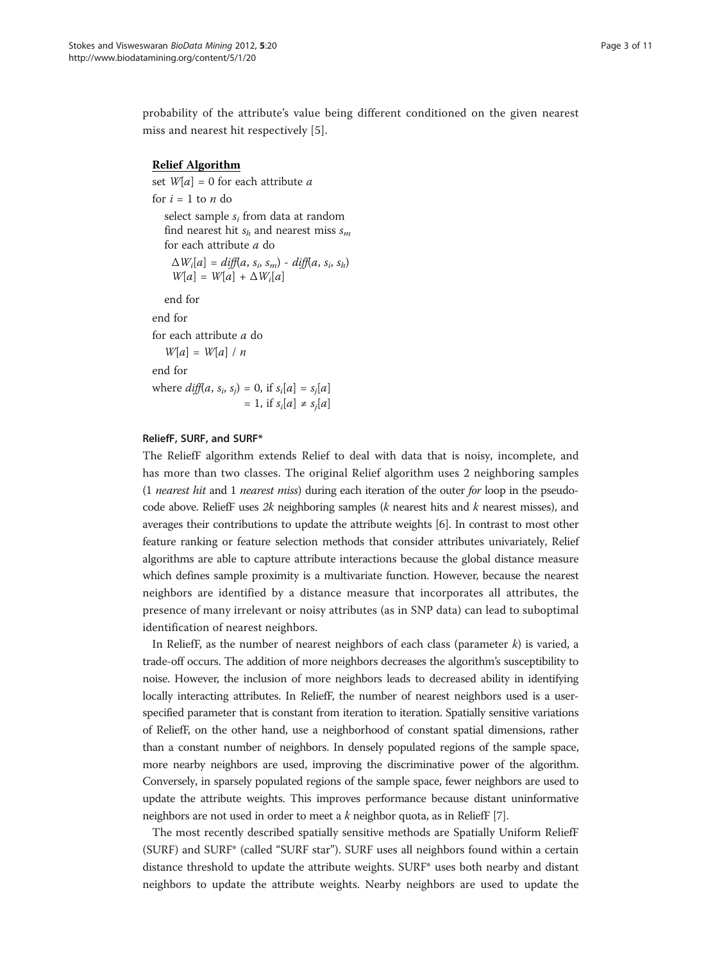probability of the attribute's value being different conditioned on the given nearest miss and nearest hit respectively [[5\]](#page-9-0).

set  $W[a] = 0$  for each attribute a for  $i = 1$  to  $n$  do select sample  $s_i$  from data at random find nearest hit  $s_h$  and nearest miss  $s_m$ for each attribute a do  $\Delta W_i[a] = diff(a, s_i, s_m) - diff(a, s_i, s_h)$  $W[a] = W[a] + \Delta W_i[a]$ end for end for for each attribute a do  $W[a] = W[a]/n$ end for where  $diff(a, s_i, s_j) = 0$ , if  $s_i[a] = s_i[a]$  $= 1$ , if  $s_i[a] \neq s_i[a]$ 

#### ReliefF, SURF, and SURF\*

The ReliefF algorithm extends Relief to deal with data that is noisy, incomplete, and has more than two classes. The original Relief algorithm uses 2 neighboring samples (1 nearest hit and 1 nearest miss) during each iteration of the outer for loop in the pseudocode above. ReliefF uses  $2k$  neighboring samples (k nearest hits and k nearest misses), and averages their contributions to update the attribute weights [\[6](#page-9-0)]. In contrast to most other feature ranking or feature selection methods that consider attributes univariately, Relief algorithms are able to capture attribute interactions because the global distance measure which defines sample proximity is a multivariate function. However, because the nearest neighbors are identified by a distance measure that incorporates all attributes, the presence of many irrelevant or noisy attributes (as in SNP data) can lead to suboptimal identification of nearest neighbors.

In Relieff, as the number of nearest neighbors of each class (parameter  $k$ ) is varied, a trade-off occurs. The addition of more neighbors decreases the algorithm's susceptibility to noise. However, the inclusion of more neighbors leads to decreased ability in identifying locally interacting attributes. In ReliefF, the number of nearest neighbors used is a userspecified parameter that is constant from iteration to iteration. Spatially sensitive variations of ReliefF, on the other hand, use a neighborhood of constant spatial dimensions, rather than a constant number of neighbors. In densely populated regions of the sample space, more nearby neighbors are used, improving the discriminative power of the algorithm. Conversely, in sparsely populated regions of the sample space, fewer neighbors are used to update the attribute weights. This improves performance because distant uninformative neighbors are not used in order to meet a k neighbor quota, as in ReliefF [\[7\]](#page-9-0).

The most recently described spatially sensitive methods are Spatially Uniform ReliefF (SURF) and SURF\* (called "SURF star"). SURF uses all neighbors found within a certain distance threshold to update the attribute weights. SURF\* uses both nearby and distant neighbors to update the attribute weights. Nearby neighbors are used to update the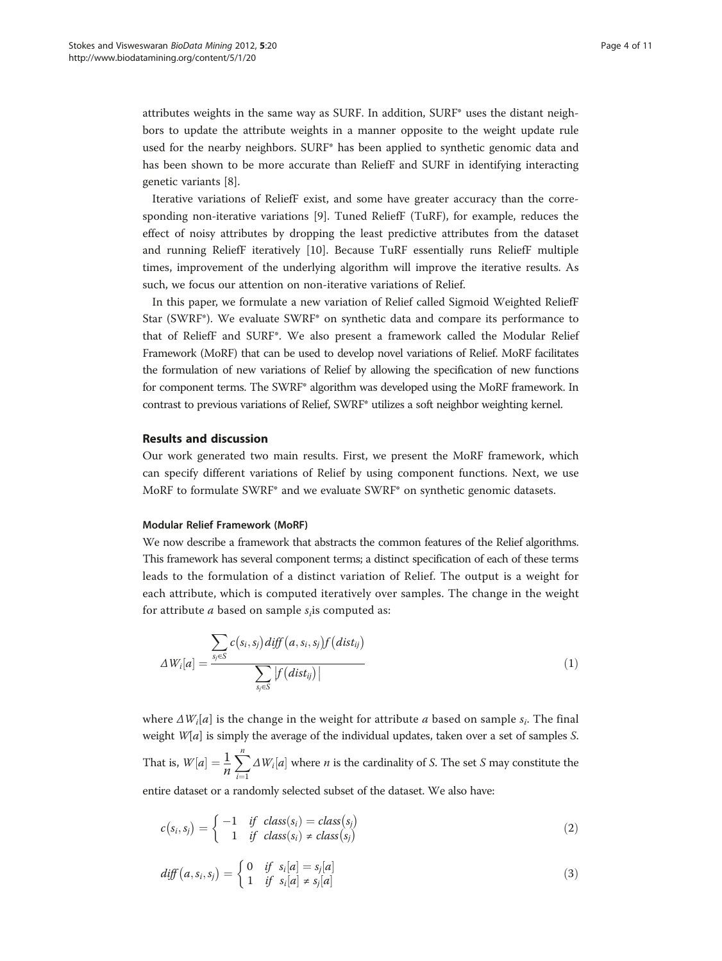<span id="page-3-0"></span>attributes weights in the same way as SURF. In addition, SURF\* uses the distant neighbors to update the attribute weights in a manner opposite to the weight update rule used for the nearby neighbors. SURF\* has been applied to synthetic genomic data and has been shown to be more accurate than ReliefF and SURF in identifying interacting genetic variants [[8\]](#page-9-0).

Iterative variations of ReliefF exist, and some have greater accuracy than the corresponding non-iterative variations [[9\]](#page-9-0). Tuned ReliefF (TuRF), for example, reduces the effect of noisy attributes by dropping the least predictive attributes from the dataset and running ReliefF iteratively [[10\]](#page-10-0). Because TuRF essentially runs ReliefF multiple times, improvement of the underlying algorithm will improve the iterative results. As such, we focus our attention on non-iterative variations of Relief.

In this paper, we formulate a new variation of Relief called Sigmoid Weighted ReliefF Star (SWRF\*). We evaluate SWRF\* on synthetic data and compare its performance to that of ReliefF and SURF\*. We also present a framework called the Modular Relief Framework (MoRF) that can be used to develop novel variations of Relief. MoRF facilitates the formulation of new variations of Relief by allowing the specification of new functions for component terms. The SWRF\* algorithm was developed using the MoRF framework. In contrast to previous variations of Relief, SWRF\* utilizes a soft neighbor weighting kernel.

#### Results and discussion

Our work generated two main results. First, we present the MoRF framework, which can specify different variations of Relief by using component functions. Next, we use MoRF to formulate SWRF\* and we evaluate SWRF\* on synthetic genomic datasets.

#### Modular Relief Framework (MoRF)

We now describe a framework that abstracts the common features of the Relief algorithms. This framework has several component terms; a distinct specification of each of these terms leads to the formulation of a distinct variation of Relief. The output is a weight for each attribute, which is computed iteratively over samples. The change in the weight for attribute *a* based on sample  $s_i$  is computed as:

$$
\Delta W_i[a] = \frac{\sum_{s_j \in S} c(s_i, s_j) diff(a, s_i, s_j) f(dist_{ij})}{\sum_{s_j \in S} |f(dist_{ij})|}
$$
(1)

where  $\Delta W_i[a]$  is the change in the weight for attribute a based on sample  $s_i$ . The final weight  $W[a]$  is simply the average of the individual updates, taken over a set of samples S. That is,  $W[a] = \frac{1}{n} \sum_{n=1}^{n}$  $\frac{1}{i=1}$  $\Delta W_i[a]$  where *n* is the cardinality of *S*. The set *S* may constitute the entire dataset or a randomly selected subset of the dataset. We also have:

$$
c(s_i, s_j) = \begin{cases} -1 & \text{if class}(s_i) = class(s_j) \\ 1 & \text{if class}(s_i) \neq class(s_j) \end{cases}
$$
 (2)

$$
diff(a, s_i, s_j) = \begin{cases} 0 & \text{if } s_i[a] = s_j[a] \\ 1 & \text{if } s_i[a] \neq s_j[a] \end{cases}
$$
 (3)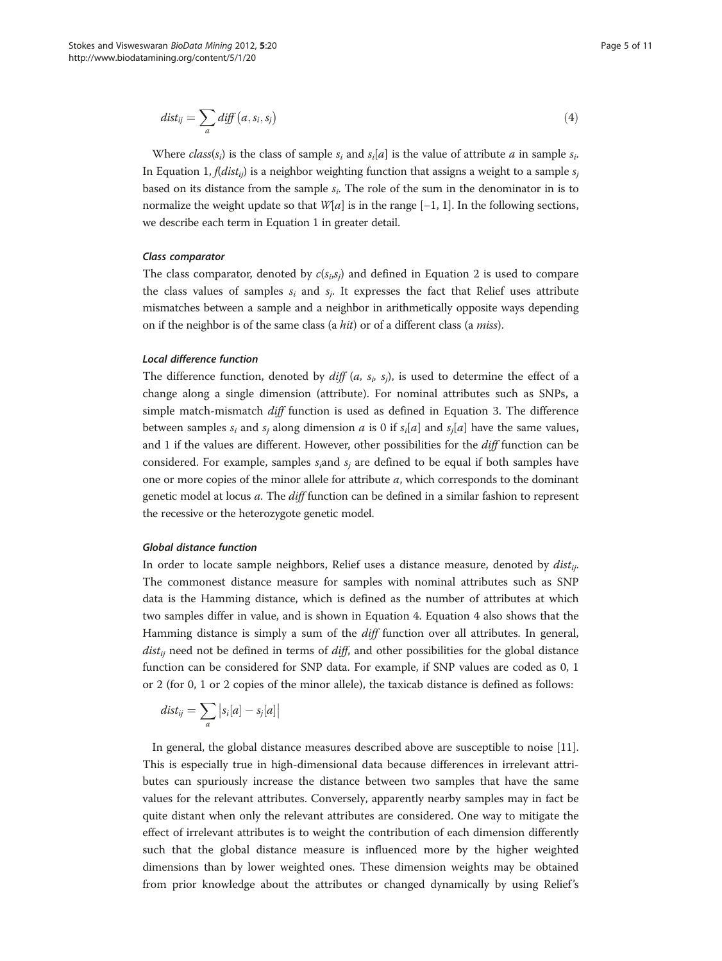$$
dist_{ij} = \sum_{a} diff(a, s_i, s_j)
$$
\n(4)

Where  $class(s_i)$  is the class of sample  $s_i$  and  $s_i[a]$  is the value of attribute a in sample  $s_i$ . In Equation [1](#page-3-0),  $f(dist_{ij})$  is a neighbor weighting function that assigns a weight to a sample  $s_i$ based on its distance from the sample  $s_i$ . The role of the sum in the denominator in is to normalize the weight update so that  $W[a]$  is in the range  $[-1, 1]$ . In the following sections, we describe each term in Equation [1](#page-3-0) in greater detail.

#### Class comparator

The class comparator, denoted by  $c(s_i,s_j)$  and defined in Equation [2](#page-3-0) is used to compare the class values of samples  $s_i$  and  $s_j$ . It expresses the fact that Relief uses attribute mismatches between a sample and a neighbor in arithmetically opposite ways depending on if the neighbor is of the same class (a hit) or of a different class (a miss).

#### Local difference function

The difference function, denoted by  $diff (a, s_i, s_j)$ , is used to determine the effect of a change along a single dimension (attribute). For nominal attributes such as SNPs, a simple match-mismatch diff function is used as defined in Equation [3.](#page-3-0) The difference between samples  $s_i$  and  $s_j$  along dimension a is 0 if  $s_i[a]$  and  $s_j[a]$  have the same values, and 1 if the values are different. However, other possibilities for the *diff* function can be considered. For example, samples  $s_i$  and  $s_j$  are defined to be equal if both samples have one or more copies of the minor allele for attribute  $a$ , which corresponds to the dominant genetic model at locus a. The diff function can be defined in a similar fashion to represent the recessive or the heterozygote genetic model.

#### Global distance function

In order to locate sample neighbors, Relief uses a distance measure, denoted by  $dist_{ii}$ . The commonest distance measure for samples with nominal attributes such as SNP data is the Hamming distance, which is defined as the number of attributes at which two samples differ in value, and is shown in Equation 4. Equation 4 also shows that the Hamming distance is simply a sum of the *diff* function over all attributes. In general,  $dist_{ii}$  need not be defined in terms of  $diff$ , and other possibilities for the global distance function can be considered for SNP data. For example, if SNP values are coded as 0, 1 or 2 (for 0, 1 or 2 copies of the minor allele), the taxicab distance is defined as follows:

$$
dist_{ij} = \sum_{a} |s_i[a] - s_j[a]|
$$

In general, the global distance measures described above are susceptible to noise [[11](#page-10-0)]. This is especially true in high-dimensional data because differences in irrelevant attributes can spuriously increase the distance between two samples that have the same values for the relevant attributes. Conversely, apparently nearby samples may in fact be quite distant when only the relevant attributes are considered. One way to mitigate the effect of irrelevant attributes is to weight the contribution of each dimension differently such that the global distance measure is influenced more by the higher weighted dimensions than by lower weighted ones. These dimension weights may be obtained from prior knowledge about the attributes or changed dynamically by using Relief's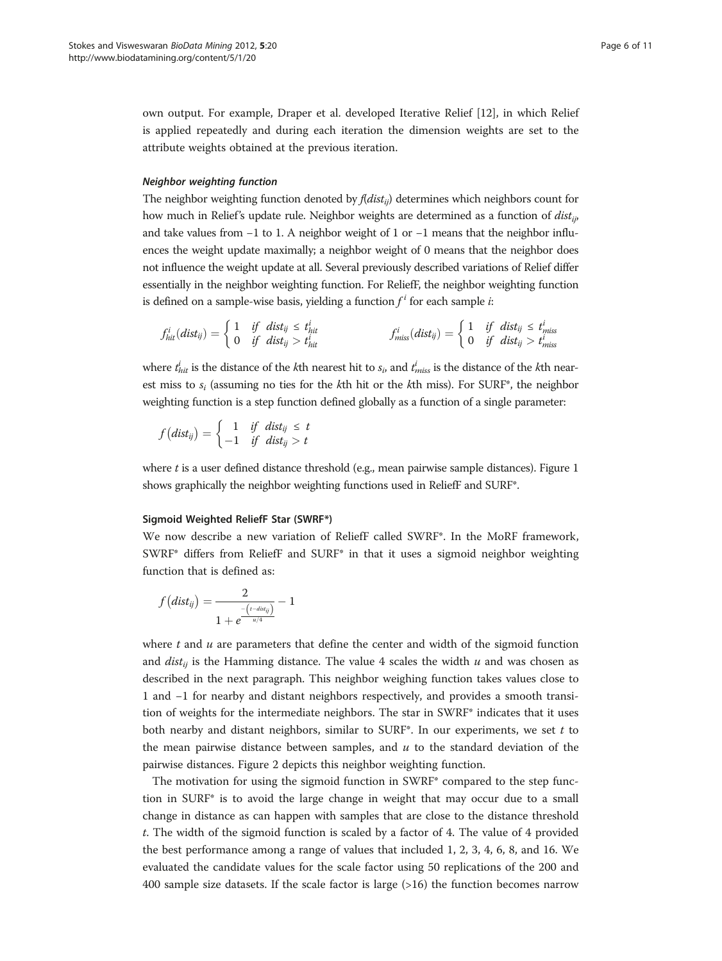own output. For example, Draper et al. developed Iterative Relief [\[12](#page-10-0)], in which Relief is applied repeatedly and during each iteration the dimension weights are set to the attribute weights obtained at the previous iteration.

#### Neighbor weighting function

The neighbor weighting function denoted by  $f(dist_{ij})$  determines which neighbors count for how much in Relief's update rule. Neighbor weights are determined as a function of  $dist_{ij}$ and take values from −1 to 1. A neighbor weight of 1 or −1 means that the neighbor influences the weight update maximally; a neighbor weight of 0 means that the neighbor does not influence the weight update at all. Several previously described variations of Relief differ essentially in the neighbor weighting function. For ReliefF, the neighbor weighting function is defined on a sample-wise basis, yielding a function  $f^i$  for each sample *i*:

$$
f_{hit}^i(dist_{ij}) = \begin{cases} 1 & \text{if } dist_{ij} \leq t_{hit}^i \\ 0 & \text{if } dist_{ij} > t_{hit}^i \end{cases} \qquad f_{miss}^i(dist_{ij}) = \begin{cases} 1 & \text{if } dist_{ij} \leq t_{miss}^i \\ 0 & \text{if } dist_{ij} > t_{miss}^i \end{cases}
$$

where  $t_{hit}^i$  is the distance of the *k*th nearest hit to  $s_i$ , and  $t_{miss}^i$  is the distance of the *k*th nearest miss to  $s_i$  (assuming no ties for the kth hit or the kth miss). For SURF\*, the neighbor weighting function is a step function defined globally as a function of a single parameter:

$$
f\big(\text{dist}_{ij}\big) = \begin{cases} 1 & \text{if } \text{dist}_{ij} \leq t \\ -1 & \text{if } \text{dist}_{ij} > t \end{cases}
$$

where  $t$  is a user defined distance threshold (e.g., mean pairwise sample distances). Figure [1](#page-6-0) shows graphically the neighbor weighting functions used in ReliefF and SURF\*.

#### Sigmoid Weighted ReliefF Star (SWRF\*)

We now describe a new variation of ReliefF called SWRF\*. In the MoRF framework, SWRF\* differs from ReliefF and SURF\* in that it uses a sigmoid neighbor weighting function that is defined as:

$$
f\big(dist_{ij}\big) = \frac{2}{1 + e^{\frac{-\left(t - dist_{ij}\right)}{u/4}}} - 1
$$

where  $t$  and  $u$  are parameters that define the center and width of the sigmoid function and  $dist_{ij}$  is the Hamming distance. The value 4 scales the width  $u$  and was chosen as described in the next paragraph. This neighbor weighing function takes values close to 1 and −1 for nearby and distant neighbors respectively, and provides a smooth transition of weights for the intermediate neighbors. The star in SWRF\* indicates that it uses both nearby and distant neighbors, similar to SURF\*. In our experiments, we set  $t$  to the mean pairwise distance between samples, and  $u$  to the standard deviation of the pairwise distances. Figure [2](#page-6-0) depicts this neighbor weighting function.

The motivation for using the sigmoid function in SWRF\* compared to the step function in SURF\* is to avoid the large change in weight that may occur due to a small change in distance as can happen with samples that are close to the distance threshold t. The width of the sigmoid function is scaled by a factor of 4. The value of 4 provided the best performance among a range of values that included 1, 2, 3, 4, 6, 8, and 16. We evaluated the candidate values for the scale factor using 50 replications of the 200 and 400 sample size datasets. If the scale factor is large (>16) the function becomes narrow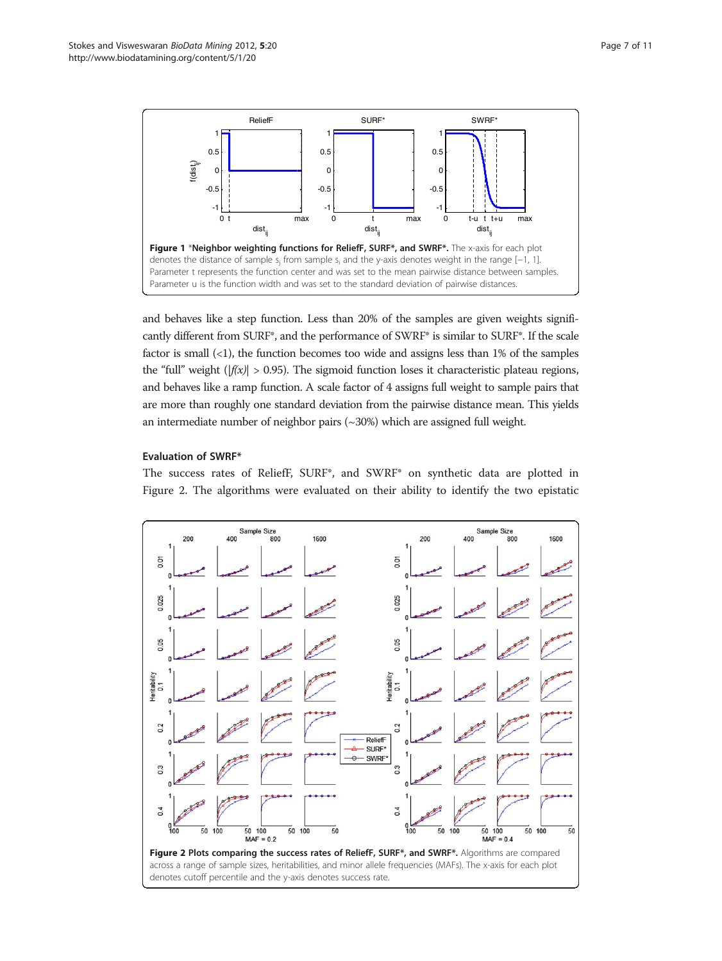<span id="page-6-0"></span>

and behaves like a step function. Less than 20% of the samples are given weights significantly different from SURF\*, and the performance of SWRF\* is similar to SURF\*. If the scale factor is small  $\langle 1 \rangle$ , the function becomes too wide and assigns less than 1% of the samples the "full" weight ( $|f(x)| > 0.95$ ). The sigmoid function loses it characteristic plateau regions, and behaves like a ramp function. A scale factor of 4 assigns full weight to sample pairs that are more than roughly one standard deviation from the pairwise distance mean. This yields an intermediate number of neighbor pairs (~30%) which are assigned full weight.

#### Evaluation of SWRF\*

The success rates of ReliefF, SURF\*, and SWRF\* on synthetic data are plotted in Figure 2. The algorithms were evaluated on their ability to identify the two epistatic

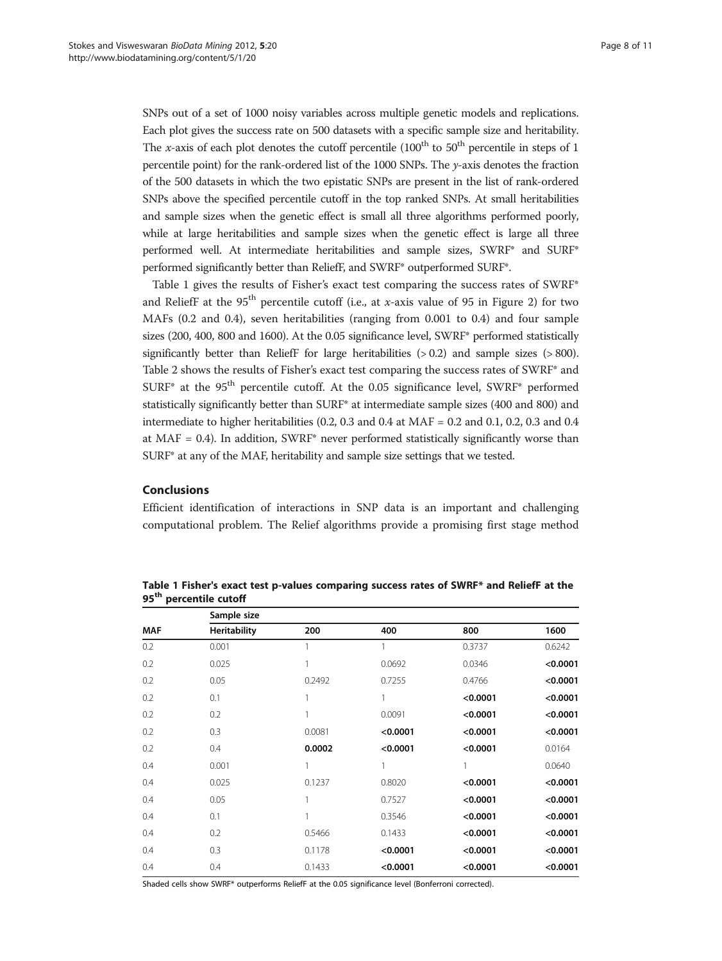SNPs out of a set of 1000 noisy variables across multiple genetic models and replications. Each plot gives the success rate on 500 datasets with a specific sample size and heritability. The x-axis of each plot denotes the cutoff percentile (100<sup>th</sup> to 50<sup>th</sup> percentile in steps of 1 percentile point) for the rank-ordered list of the 1000 SNPs. The  $\gamma$ -axis denotes the fraction of the 500 datasets in which the two epistatic SNPs are present in the list of rank-ordered SNPs above the specified percentile cutoff in the top ranked SNPs. At small heritabilities and sample sizes when the genetic effect is small all three algorithms performed poorly, while at large heritabilities and sample sizes when the genetic effect is large all three performed well. At intermediate heritabilities and sample sizes, SWRF\* and SURF\* performed significantly better than ReliefF, and SWRF\* outperformed SURF\*.

Table 1 gives the results of Fisher's exact test comparing the success rates of SWRF\* and ReliefF at the 95<sup>th</sup> percentile cutoff (i.e., at x-axis value of 95 in Figure [2\)](#page-6-0) for two MAFs (0.2 and 0.4), seven heritabilities (ranging from 0.001 to 0.4) and four sample sizes (200, 400, 800 and 1600). At the 0.05 significance level, SWRF\* performed statistically significantly better than ReliefF for large heritabilities  $(>0.2)$  and sample sizes  $(>800)$ . Table [2](#page-8-0) shows the results of Fisher's exact test comparing the success rates of SWRF\* and SURF\* at the 95<sup>th</sup> percentile cutoff. At the 0.05 significance level, SWRF\* performed statistically significantly better than SURF\* at intermediate sample sizes (400 and 800) and intermediate to higher heritabilities (0.2, 0.3 and 0.4 at MAF = 0.2 and 0.1, 0.2, 0.3 and 0.4 at MAF =  $0.4$ ). In addition, SWRF<sup>\*</sup> never performed statistically significantly worse than SURF\* at any of the MAF, heritability and sample size settings that we tested.

#### Conclusions

Efficient identification of interactions in SNP data is an important and challenging computational problem. The Relief algorithms provide a promising first stage method

| <b>MAF</b> | Sample size         |        |          |          |          |  |  |
|------------|---------------------|--------|----------|----------|----------|--|--|
|            | <b>Heritability</b> | 200    | 400      | 800      | 1600     |  |  |
| 0.2        | 0.001               | 1      |          | 0.3737   | 0.6242   |  |  |
| 0.2        | 0.025               | 1      | 0.0692   | 0.0346   | < 0.0001 |  |  |
| 0.2        | 0.05                | 0.2492 | 0.7255   | 0.4766   | < 0.0001 |  |  |
| 0.2        | 0.1                 | 1      | 1        | < 0.0001 | < 0.0001 |  |  |
| 0.2        | 0.2                 | 1      | 0.0091   | < 0.0001 | < 0.0001 |  |  |
| 0.2        | 0.3                 | 0.0081 | < 0.0001 | < 0.0001 | < 0.0001 |  |  |
| 0.2        | 0.4                 | 0.0002 | < 0.0001 | < 0.0001 | 0.0164   |  |  |
| 0.4        | 0.001               | 1      | 1        |          | 0.0640   |  |  |
| 0.4        | 0.025               | 0.1237 | 0.8020   | < 0.0001 | < 0.0001 |  |  |
| 0.4        | 0.05                | 1      | 0.7527   | < 0.0001 | < 0.0001 |  |  |
| 0.4        | 0.1                 | 1      | 0.3546   | < 0.0001 | < 0.0001 |  |  |
| 0.4        | 0.2                 | 0.5466 | 0.1433   | < 0.0001 | < 0.0001 |  |  |
| 0.4        | 0.3                 | 0.1178 | < 0.0001 | < 0.0001 | < 0.0001 |  |  |
| 0.4        | 0.4                 | 0.1433 | < 0.0001 | < 0.0001 | < 0.0001 |  |  |

Table 1 Fisher's exact test p-values comparing success rates of SWRF\* and ReliefF at the 95<sup>th</sup> percentile cutoff

Shaded cells show SWRF\* outperforms ReliefF at the 0.05 significance level (Bonferroni corrected).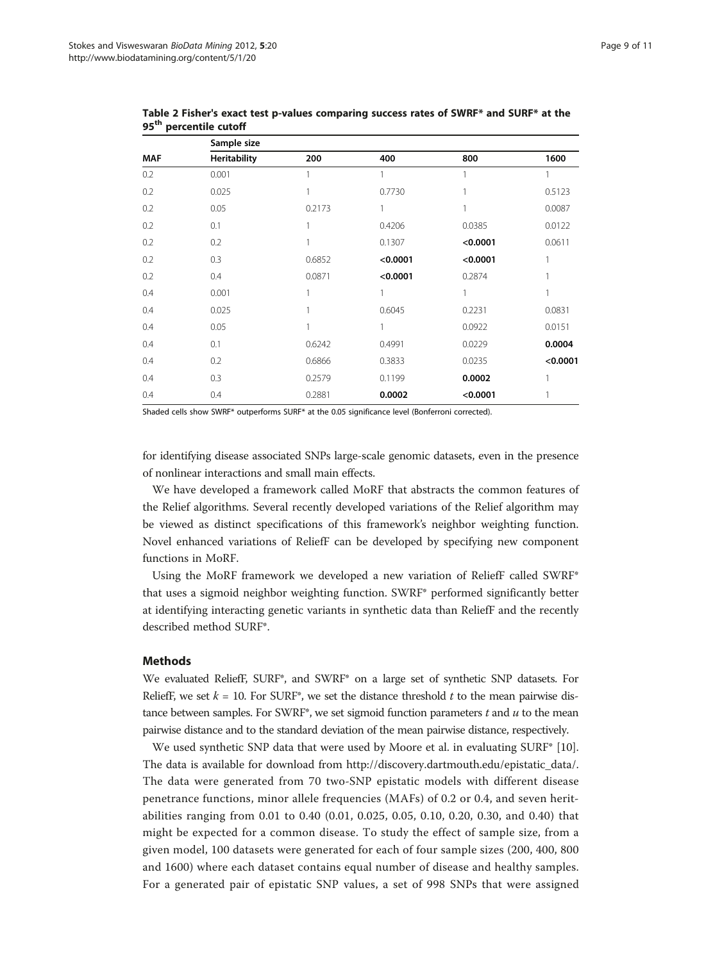| <b>MAF</b> | Sample size         |        |          |          |          |  |  |
|------------|---------------------|--------|----------|----------|----------|--|--|
|            | <b>Heritability</b> | 200    | 400      | 800      | 1600     |  |  |
| 0.2        | 0.001               | 1      |          |          |          |  |  |
| 0.2        | 0.025               | 1      | 0.7730   |          | 0.5123   |  |  |
| 0.2        | 0.05                | 0.2173 |          |          | 0.0087   |  |  |
| 0.2        | 0.1                 | 1      | 0.4206   | 0.0385   | 0.0122   |  |  |
| 0.2        | 0.2                 | 1      | 0.1307   | < 0.0001 | 0.0611   |  |  |
| 0.2        | 0.3                 | 0.6852 | < 0.0001 | < 0.0001 |          |  |  |
| 0.2        | 0.4                 | 0.0871 | < 0.0001 | 0.2874   |          |  |  |
| 0.4        | 0.001               | 1      |          | 1        |          |  |  |
| 0.4        | 0.025               | 1      | 0.6045   | 0.2231   | 0.0831   |  |  |
| 0.4        | 0.05                | 1      | 1        | 0.0922   | 0.0151   |  |  |
| 0.4        | 0.1                 | 0.6242 | 0.4991   | 0.0229   | 0.0004   |  |  |
| 0.4        | 0.2                 | 0.6866 | 0.3833   | 0.0235   | < 0.0001 |  |  |
| 0.4        | 0.3                 | 0.2579 | 0.1199   | 0.0002   |          |  |  |
| 0.4        | 0.4                 | 0.2881 | 0.0002   | < 0.0001 |          |  |  |

<span id="page-8-0"></span>Table 2 Fisher's exact test p-values comparing success rates of SWRF\* and SURF\* at the 95<sup>th</sup> percentile cutoff

Shaded cells show SWRF\* outperforms SURF\* at the 0.05 significance level (Bonferroni corrected).

for identifying disease associated SNPs large-scale genomic datasets, even in the presence of nonlinear interactions and small main effects.

We have developed a framework called MoRF that abstracts the common features of the Relief algorithms. Several recently developed variations of the Relief algorithm may be viewed as distinct specifications of this framework's neighbor weighting function. Novel enhanced variations of ReliefF can be developed by specifying new component functions in MoRF.

Using the MoRF framework we developed a new variation of ReliefF called SWRF\* that uses a sigmoid neighbor weighting function. SWRF\* performed significantly better at identifying interacting genetic variants in synthetic data than ReliefF and the recently described method SURF\*.

#### Methods

We evaluated ReliefF, SURF\*, and SWRF\* on a large set of synthetic SNP datasets. For Relieff, we set  $k = 10$ . For SURF\*, we set the distance threshold t to the mean pairwise distance between samples. For SWRF\*, we set sigmoid function parameters  $t$  and  $u$  to the mean pairwise distance and to the standard deviation of the mean pairwise distance, respectively.

We used synthetic SNP data that were used by Moore et al. in evaluating SURF\* [[10](#page-10-0)]. The data is available for download from [http://discovery.dartmouth.edu/epistatic\\_data/](http://discovery.dartmouth.edu/epistatic_data/). The data were generated from 70 two-SNP epistatic models with different disease penetrance functions, minor allele frequencies (MAFs) of 0.2 or 0.4, and seven heritabilities ranging from 0.01 to 0.40 (0.01, 0.025, 0.05, 0.10, 0.20, 0.30, and 0.40) that might be expected for a common disease. To study the effect of sample size, from a given model, 100 datasets were generated for each of four sample sizes (200, 400, 800 and 1600) where each dataset contains equal number of disease and healthy samples. For a generated pair of epistatic SNP values, a set of 998 SNPs that were assigned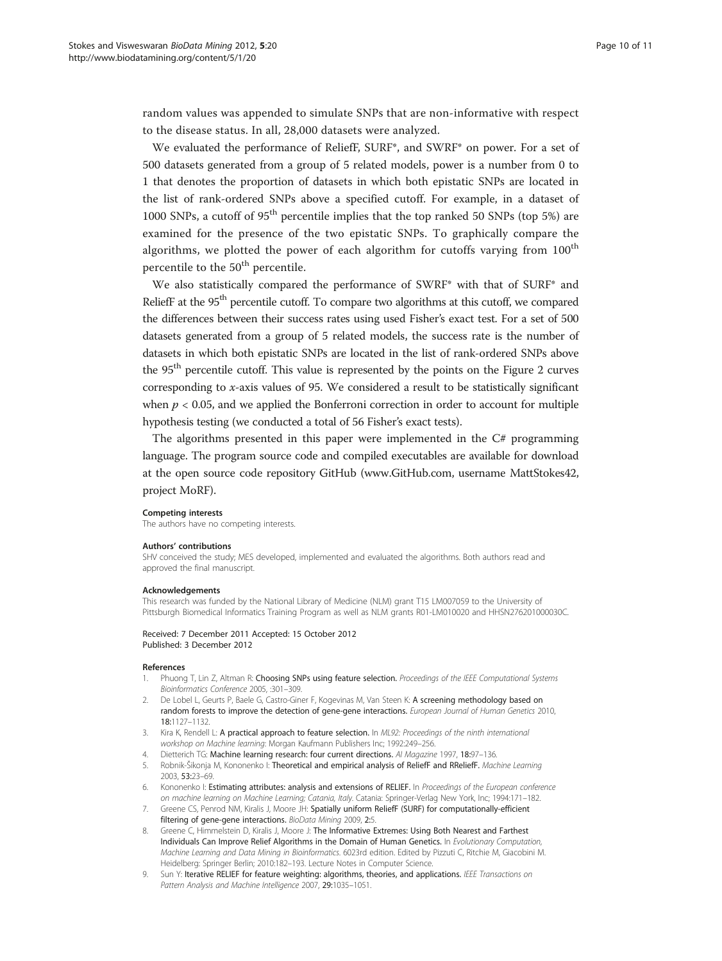<span id="page-9-0"></span>random values was appended to simulate SNPs that are non-informative with respect to the disease status. In all, 28,000 datasets were analyzed.

We evaluated the performance of ReliefF, SURF\*, and SWRF\* on power. For a set of 500 datasets generated from a group of 5 related models, power is a number from 0 to 1 that denotes the proportion of datasets in which both epistatic SNPs are located in the list of rank-ordered SNPs above a specified cutoff. For example, in a dataset of 1000 SNPs, a cutoff of 95<sup>th</sup> percentile implies that the top ranked 50 SNPs (top 5%) are examined for the presence of the two epistatic SNPs. To graphically compare the algorithms, we plotted the power of each algorithm for cutoffs varying from  $100<sup>th</sup>$ percentile to the 50<sup>th</sup> percentile.

We also statistically compared the performance of SWRF\* with that of SURF\* and ReliefF at the 95th percentile cutoff. To compare two algorithms at this cutoff, we compared the differences between their success rates using used Fisher's exact test. For a set of 500 datasets generated from a group of 5 related models, the success rate is the number of datasets in which both epistatic SNPs are located in the list of rank-ordered SNPs above the 95th percentile cutoff. This value is represented by the points on the Figure [2](#page-6-0) curves corresponding to x-axis values of 95. We considered a result to be statistically significant when  $p < 0.05$ , and we applied the Bonferroni correction in order to account for multiple hypothesis testing (we conducted a total of 56 Fisher's exact tests).

The algorithms presented in this paper were implemented in the C# programming language. The program source code and compiled executables are available for download at the open source code repository GitHub ([www.GitHub.com,](http://www.GitHub.com) username MattStokes42, project MoRF).

#### Competing interests

The authors have no competing interests.

#### Authors' contributions

SHV conceived the study; MES developed, implemented and evaluated the algorithms. Both authors read and approved the final manuscript.

#### Acknowledgements

This research was funded by the National Library of Medicine (NLM) grant T15 LM007059 to the University of Pittsburgh Biomedical Informatics Training Program as well as NLM grants R01-LM010020 and HHSN276201000030C.

Received: 7 December 2011 Accepted: 15 October 2012 Published: 3 December 2012

#### References

- Phuong T, Lin Z, Altman R: Choosing SNPs using feature selection. Proceedings of the IEEE Computational Systems Bioinformatics Conference 2005, :301–309.
- 2. De Lobel L, Geurts P, Baele G, Castro-Giner F, Kogevinas M, Van Steen K: A screening methodology based on random forests to improve the detection of gene-gene interactions. European Journal of Human Genetics 2010, 18:1127–1132.
- 3. Kira K, Rendell L: A practical approach to feature selection. In ML92: Proceedings of the ninth international workshop on Machine learning: Morgan Kaufmann Publishers Inc; 1992:249–256.
- 4. Dietterich TG: Machine learning research: four current directions. Al Magazine 1997, 18:97-136.
- 5. Robnik-Šikonja M, Kononenko I: Theoretical and empirical analysis of ReliefF and RReliefF. Machine Learning 2003, 53:23–69.
- 6. Kononenko I: Estimating attributes: analysis and extensions of RELIEF. In Proceedings of the European conference on machine learning on Machine Learning; Catania, Italy. Catania: Springer-Verlag New York, Inc; 1994:171–182.
- 7. Greene CS, Penrod NM, Kiralis J, Moore JH: Spatially uniform ReliefF (SURF) for computationally-efficient filtering of gene-gene interactions. BioData Mining 2009, 2:5.
- 8. Greene C, Himmelstein D, Kiralis J, Moore J: The Informative Extremes: Using Both Nearest and Farthest Individuals Can Improve Relief Algorithms in the Domain of Human Genetics. In Evolutionary Computation, Machine Learning and Data Mining in Bioinformatics. 6023rd edition. Edited by Pizzuti C, Ritchie M, Giacobini M. Heidelberg: Springer Berlin; 2010:182–193. Lecture Notes in Computer Science.
- 9. Sun Y: Iterative RELIEF for feature weighting: algorithms, theories, and applications. IEEE Transactions on Pattern Analysis and Machine Intelligence 2007, 29:1035–1051.